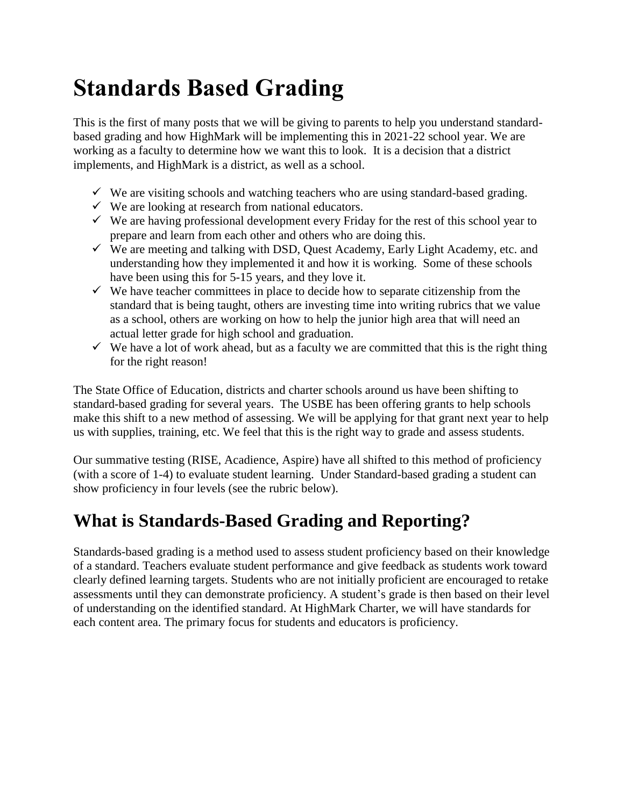# **Standards Based Grading**

This is the first of many posts that we will be giving to parents to help you understand standardbased grading and how HighMark will be implementing this in 2021-22 school year. We are working as a faculty to determine how we want this to look. It is a decision that a district implements, and HighMark is a district, as well as a school.

- $\checkmark$  We are visiting schools and watching teachers who are using standard-based grading.
- $\checkmark$  We are looking at research from national educators.
- $\checkmark$  We are having professional development every Friday for the rest of this school year to prepare and learn from each other and others who are doing this.
- $\checkmark$  We are meeting and talking with DSD, Quest Academy, Early Light Academy, etc. and understanding how they implemented it and how it is working. Some of these schools have been using this for 5-15 years, and they love it.
- $\checkmark$  We have teacher committees in place to decide how to separate citizenship from the standard that is being taught, others are investing time into writing rubrics that we value as a school, others are working on how to help the junior high area that will need an actual letter grade for high school and graduation.
- $\checkmark$  We have a lot of work ahead, but as a faculty we are committed that this is the right thing for the right reason!

The State Office of Education, districts and charter schools around us have been shifting to standard-based grading for several years. The USBE has been offering grants to help schools make this shift to a new method of assessing. We will be applying for that grant next year to help us with supplies, training, etc. We feel that this is the right way to grade and assess students.

Our summative testing (RISE, Acadience, Aspire) have all shifted to this method of proficiency (with a score of 1-4) to evaluate student learning. Under Standard-based grading a student can show proficiency in four levels (see the rubric below).

# **What is Standards-Based Grading and Reporting?**

Standards-based grading is a method used to assess student proficiency based on their knowledge of a standard. Teachers evaluate student performance and give feedback as students work toward clearly defined learning targets. Students who are not initially proficient are encouraged to retake assessments until they can demonstrate proficiency. A student's grade is then based on their level of understanding on the identified standard. At HighMark Charter, we will have standards for each content area. The primary focus for students and educators is proficiency.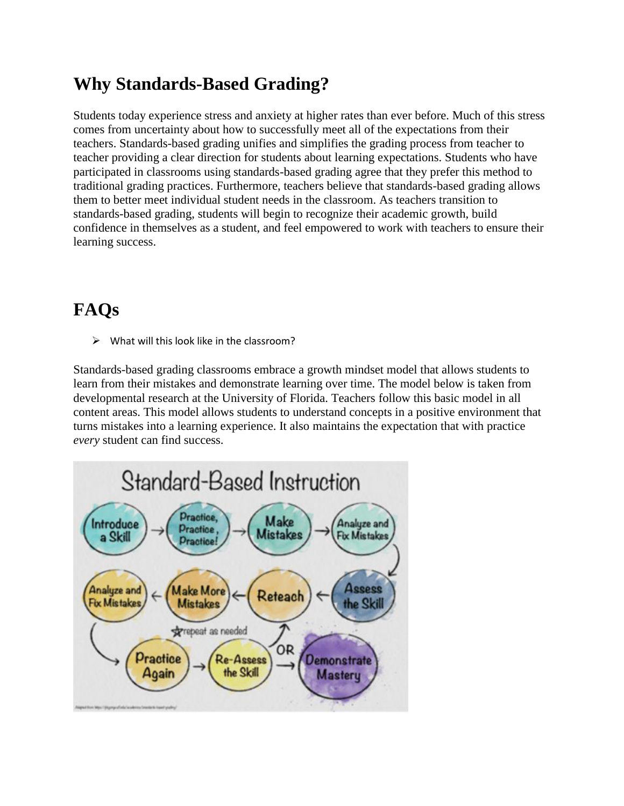### **Why Standards-Based Grading?**

Students today experience stress and anxiety at higher rates than ever before. Much of this stress comes from uncertainty about how to successfully meet all of the expectations from their teachers. Standards-based grading unifies and simplifies the grading process from teacher to teacher providing a clear direction for students about learning expectations. Students who have participated in classrooms using standards-based grading agree that they prefer this method to traditional grading practices. Furthermore, teachers believe that standards-based grading allows them to better meet individual student needs in the classroom. As teachers transition to standards-based grading, students will begin to recognize their academic growth, build confidence in themselves as a student, and feel empowered to work with teachers to ensure their learning success.

## **FAQs**

 $\triangleright$  What will this look like in the classroom?

Standards-based grading classrooms embrace a growth mindset model that allows students to learn from their mistakes and demonstrate learning over time. The model below is taken from developmental research at the University of Florida. Teachers follow this basic model in all content areas. This model allows students to understand concepts in a positive environment that turns mistakes into a learning experience. It also maintains the expectation that with practice *every* student can find success.

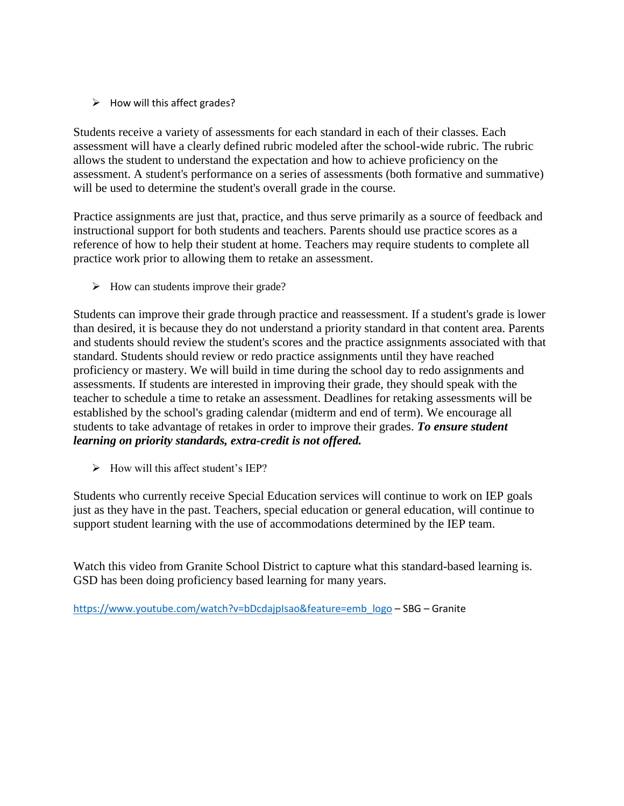$\triangleright$  How will this affect grades?

Students receive a variety of assessments for each standard in each of their classes. Each assessment will have a clearly defined rubric modeled after the school-wide rubric. The rubric allows the student to understand the expectation and how to achieve proficiency on the assessment. A student's performance on a series of assessments (both formative and summative) will be used to determine the student's overall grade in the course.

Practice assignments are just that, practice, and thus serve primarily as a source of feedback and instructional support for both students and teachers. Parents should use practice scores as a reference of how to help their student at home. Teachers may require students to complete all practice work prior to allowing them to retake an assessment.

 $\triangleright$  How can students improve their grade?

Students can improve their grade through practice and reassessment. If a student's grade is lower than desired, it is because they do not understand a priority standard in that content area. Parents and students should review the student's scores and the practice assignments associated with that standard. Students should review or redo practice assignments until they have reached proficiency or mastery. We will build in time during the school day to redo assignments and assessments. If students are interested in improving their grade, they should speak with the teacher to schedule a time to retake an assessment. Deadlines for retaking assessments will be established by the school's grading calendar (midterm and end of term). We encourage all students to take advantage of retakes in order to improve their grades. *To ensure student learning on priority standards, extra-credit is not offered.*

 $\triangleright$  How will this affect student's IEP?

Students who currently receive Special Education services will continue to work on IEP goals just as they have in the past. Teachers, special education or general education, will continue to support student learning with the use of accommodations determined by the IEP team.

Watch this video from Granite School District to capture what this standard-based learning is. GSD has been doing proficiency based learning for many years.

[https://www.youtube.com/watch?v=bDcdajpIsao&feature=emb\\_logo](https://www.youtube.com/watch?v=bDcdajpIsao&feature=emb_logo) – SBG – Granite